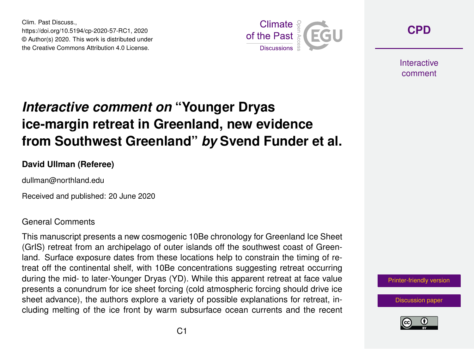Clim. Past Discuss., https://doi.org/10.5194/cp-2020-57-RC1, 2020 © Author(s) 2020. This work is distributed under the Creative Commons Attribution 4.0 License.



**[CPD](https://cp.copernicus.org/preprints/)**

**Interactive** comment

# *Interactive comment on* **"Younger Dryas ice-margin retreat in Greenland, new evidence from Southwest Greenland"** *by* **Svend Funder et al.**

### **David Ullman (Referee)**

dullman@northland.edu

Received and published: 20 June 2020

### General Comments

This manuscript presents a new cosmogenic 10Be chronology for Greenland Ice Sheet (GrIS) retreat from an archipelago of outer islands off the southwest coast of Greenland. Surface exposure dates from these locations help to constrain the timing of retreat off the continental shelf, with 10Be concentrations suggesting retreat occurring during the mid- to later-Younger Dryas (YD). While this apparent retreat at face value presents a conundrum for ice sheet forcing (cold atmospheric forcing should drive ice sheet advance), the authors explore a variety of possible explanations for retreat, including melting of the ice front by warm subsurface ocean currents and the recent



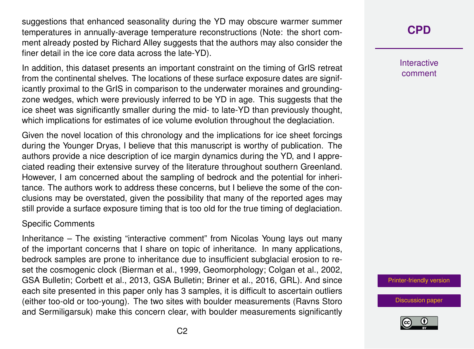suggestions that enhanced seasonality during the YD may obscure warmer summer temperatures in annually-average temperature reconstructions (Note: the short comment already posted by Richard Alley suggests that the authors may also consider the finer detail in the ice core data across the late-YD).

In addition, this dataset presents an important constraint on the timing of GrIS retreat from the continental shelves. The locations of these surface exposure dates are significantly proximal to the GrIS in comparison to the underwater moraines and groundingzone wedges, which were previously inferred to be YD in age. This suggests that the ice sheet was significantly smaller during the mid- to late-YD than previously thought, which implications for estimates of ice volume evolution throughout the deglaciation.

Given the novel location of this chronology and the implications for ice sheet forcings during the Younger Dryas, I believe that this manuscript is worthy of publication. The authors provide a nice description of ice margin dynamics during the YD, and I appreciated reading their extensive survey of the literature throughout southern Greenland. However, I am concerned about the sampling of bedrock and the potential for inheritance. The authors work to address these concerns, but I believe the some of the conclusions may be overstated, given the possibility that many of the reported ages may still provide a surface exposure timing that is too old for the true timing of deglaciation.

### Specific Comments

Inheritance – The existing "interactive comment" from Nicolas Young lays out many of the important concerns that I share on topic of inheritance. In many applications, bedrock samples are prone to inheritance due to insufficient subglacial erosion to reset the cosmogenic clock (Bierman et al., 1999, Geomorphology; Colgan et al., 2002, GSA Bulletin; Corbett et al., 2013, GSA Bulletin; Briner et al., 2016, GRL). And since each site presented in this paper only has 3 samples, it is difficult to ascertain outliers (either too-old or too-young). The two sites with boulder measurements (Ravns Storo and Sermiligarsuk) make this concern clear, with boulder measurements significantly

# **[CPD](https://cp.copernicus.org/preprints/)**

**Interactive** comment

[Printer-friendly version](https://cp.copernicus.org/preprints/cp-2020-57/cp-2020-57-RC1-print.pdf)

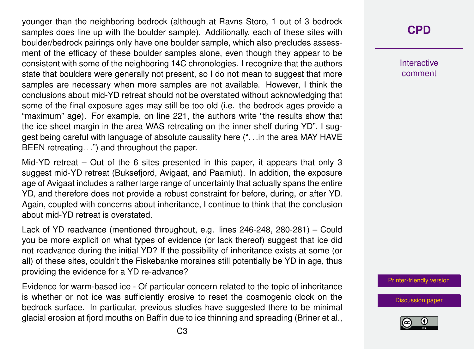younger than the neighboring bedrock (although at Ravns Storo, 1 out of 3 bedrock samples does line up with the boulder sample). Additionally, each of these sites with boulder/bedrock pairings only have one boulder sample, which also precludes assessment of the efficacy of these boulder samples alone, even though they appear to be consistent with some of the neighboring 14C chronologies. I recognize that the authors state that boulders were generally not present, so I do not mean to suggest that more samples are necessary when more samples are not available. However, I think the conclusions about mid-YD retreat should not be overstated without acknowledging that some of the final exposure ages may still be too old (i.e. the bedrock ages provide a "maximum" age). For example, on line 221, the authors write "the results show that the ice sheet margin in the area WAS retreating on the inner shelf during YD". I suggest being careful with language of absolute causality here (". . .in the area MAY HAVE BEEN retreating. . .") and throughout the paper.

Mid-YD retreat – Out of the 6 sites presented in this paper, it appears that only 3 suggest mid-YD retreat (Buksefjord, Avigaat, and Paamiut). In addition, the exposure age of Avigaat includes a rather large range of uncertainty that actually spans the entire YD, and therefore does not provide a robust constraint for before, during, or after YD. Again, coupled with concerns about inheritance, I continue to think that the conclusion about mid-YD retreat is overstated.

Lack of YD readvance (mentioned throughout, e.g. lines 246-248, 280-281) – Could you be more explicit on what types of evidence (or lack thereof) suggest that ice did not readvance during the initial YD? If the possibility of inheritance exists at some (or all) of these sites, couldn't the Fiskebanke moraines still potentially be YD in age, thus providing the evidence for a YD re-advance?

Evidence for warm-based ice - Of particular concern related to the topic of inheritance is whether or not ice was sufficiently erosive to reset the cosmogenic clock on the bedrock surface. In particular, previous studies have suggested there to be minimal glacial erosion at fjord mouths on Baffin due to ice thinning and spreading (Briner et al.,

## **[CPD](https://cp.copernicus.org/preprints/)**

**Interactive** comment

[Printer-friendly version](https://cp.copernicus.org/preprints/cp-2020-57/cp-2020-57-RC1-print.pdf)